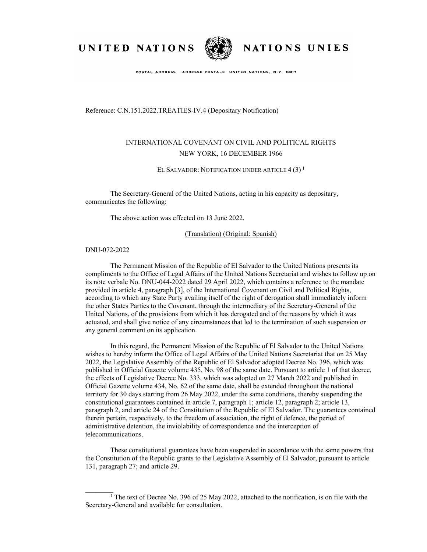UNITED NATIONS



NATIONS UNIES

POSTAL ADDRESS-ADRESSE POSTALE: UNITED NATIONS, N.Y. 10017

Reference: C.N.151.2022.TREATIES-IV.4 (Depositary Notification)

## INTERNATIONAL COVENANT ON CIVIL AND POLITICAL RIGHTS NEW YORK, 16 DECEMBER 1966

EL SALVADOR: NOTIFICATION UNDER ARTICLE  $4(3)^1$ 

The Secretary-General of the United Nations, acting in his capacity as depositary, communicates the following:

The above action was effected on 13 June 2022.

(Translation) (Original: Spanish)

DNU-072-2022

 $\mathcal{L}=\mathcal{L}$ 

The Permanent Mission of the Republic of El Salvador to the United Nations presents its compliments to the Office of Legal Affairs of the United Nations Secretariat and wishes to follow up on its note verbale No. DNU-044-2022 dated 29 April 2022, which contains a reference to the mandate provided in article 4, paragraph [3], of the International Covenant on Civil and Political Rights, according to which any State Party availing itself of the right of derogation shall immediately inform the other States Parties to the Covenant, through the intermediary of the Secretary-General of the United Nations, of the provisions from which it has derogated and of the reasons by which it was actuated, and shall give notice of any circumstances that led to the termination of such suspension or any general comment on its application.

In this regard, the Permanent Mission of the Republic of El Salvador to the United Nations wishes to hereby inform the Office of Legal Affairs of the United Nations Secretariat that on 25 May 2022, the Legislative Assembly of the Republic of El Salvador adopted Decree No. 396, which was published in Official Gazette volume 435, No. 98 of the same date. Pursuant to article 1 of that decree, the effects of Legislative Decree No. 333, which was adopted on 27 March 2022 and published in Official Gazette volume 434, No. 62 of the same date, shall be extended throughout the national territory for 30 days starting from 26 May 2022, under the same conditions, thereby suspending the constitutional guarantees contained in article 7, paragraph 1; article 12, paragraph 2; article 13, paragraph 2, and article 24 of the Constitution of the Republic of El Salvador. The guarantees contained therein pertain, respectively, to the freedom of association, the right of defence, the period of administrative detention, the inviolability of correspondence and the interception of telecommunications.

These constitutional guarantees have been suspended in accordance with the same powers that the Constitution of the Republic grants to the Legislative Assembly of El Salvador, pursuant to article 131, paragraph 27; and article 29.

<sup>1</sup> The text of Decree No. 396 of 25 May 2022, attached to the notification, is on file with the Secretary-General and available for consultation.